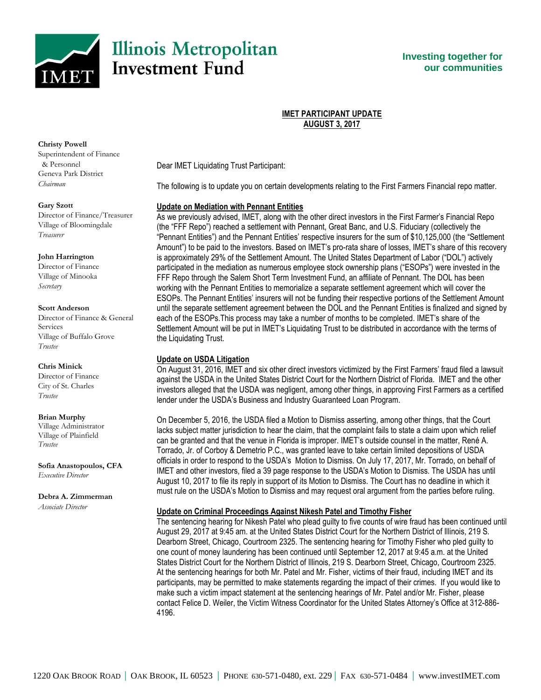

**Investing together for our communities**

## **IMET PARTICIPANT UPDATE AUGUST 3, 2017**

**Christy Powell**

Superintendent of Finance & Personnel Geneva Park District *Chairman*

#### **Gary Szott**

Director of Finance/Treasurer Village of Bloomingdale *Treasurer*

### **John Harrington**

Director of Finance Village of Minooka *Secretary*

#### **Scott Anderson**

Director of Finance & General Services Village of Buffalo Grove *Trustee*

### **Chris Minick**

Director of Finance City of St. Charles *Trustee*

### **Brian Murphy**

Village Administrator Village of Plainfield *Trustee*

**Sofia Anastopoulos, CFA** *Executive Director*

**Debra A. Zimmerman** *Associate Director*

Dear IMET Liquidating Trust Participant:

The following is to update you on certain developments relating to the First Farmers Financial repo matter.

# **Update on Mediation with Pennant Entities**

As we previously advised, IMET, along with the other direct investors in the First Farmer's Financial Repo (the "FFF Repo") reached a settlement with Pennant, Great Banc, and U.S. Fiduciary (collectively the "Pennant Entities") and the Pennant Entities' respective insurers for the sum of \$10,125,000 (the "Settlement Amount") to be paid to the investors. Based on IMET's pro-rata share of losses, IMET's share of this recovery is approximately 29% of the Settlement Amount. The United States Department of Labor ("DOL") actively participated in the mediation as numerous employee stock ownership plans ("ESOPs") were invested in the FFF Repo through the Salem Short Term Investment Fund, an affiliate of Pennant. The DOL has been working with the Pennant Entities to memorialize a separate settlement agreement which will cover the ESOPs. The Pennant Entities' insurers will not be funding their respective portions of the Settlement Amount until the separate settlement agreement between the DOL and the Pennant Entities is finalized and signed by each of the ESOPs.This process may take a number of months to be completed. IMET's share of the Settlement Amount will be put in IMET's Liquidating Trust to be distributed in accordance with the terms of the Liquidating Trust.

# **Update on USDA Litigation**

On August 31, 2016, IMET and six other direct investors victimized by the First Farmers' fraud filed a lawsuit against the USDA in the United States District Court for the Northern District of Florida. IMET and the other investors alleged that the USDA was negligent, among other things, in approving First Farmers as a certified lender under the USDA's Business and Industry Guaranteed Loan Program.

On December 5, 2016, the USDA filed a Motion to Dismiss asserting, among other things, that the Court lacks subject matter jurisdiction to hear the claim, that the complaint fails to state a claim upon which relief can be granted and that the venue in Florida is improper. IMET's outside counsel in the matter, René A. Torrado, Jr. of Corboy & Demetrio P.C., was granted leave to take certain limited depositions of USDA officials in order to respond to the USDA's Motion to Dismiss. On July 17, 2017, Mr. Torrado, on behalf of IMET and other investors, filed a 39 page response to the USDA's Motion to Dismiss. The USDA has until August 10, 2017 to file its reply in support of its Motion to Dismiss. The Court has no deadline in which it must rule on the USDA's Motion to Dismiss and may request oral argument from the parties before ruling.

# **Update on Criminal Proceedings Against Nikesh Patel and Timothy Fisher**

The sentencing hearing for Nikesh Patel who plead guilty to five counts of wire fraud has been continued until August 29, 2017 at 9:45 am. at the United States District Court for the Northern District of Illinois, 219 S. Dearborn Street, Chicago, Courtroom 2325. The sentencing hearing for Timothy Fisher who pled guilty to one count of money laundering has been continued until September 12, 2017 at 9:45 a.m. at the United States District Court for the Northern District of Illinois, 219 S. Dearborn Street, Chicago, Courtroom 2325. At the sentencing hearings for both Mr. Patel and Mr. Fisher, victims of their fraud, including IMET and its participants, may be permitted to make statements regarding the impact of their crimes. If you would like to make such a victim impact statement at the sentencing hearings of Mr. Patel and/or Mr. Fisher, please contact Felice D. Weiler, the Victim Witness Coordinator for the United States Attorney's Office at 312-886- 4196.